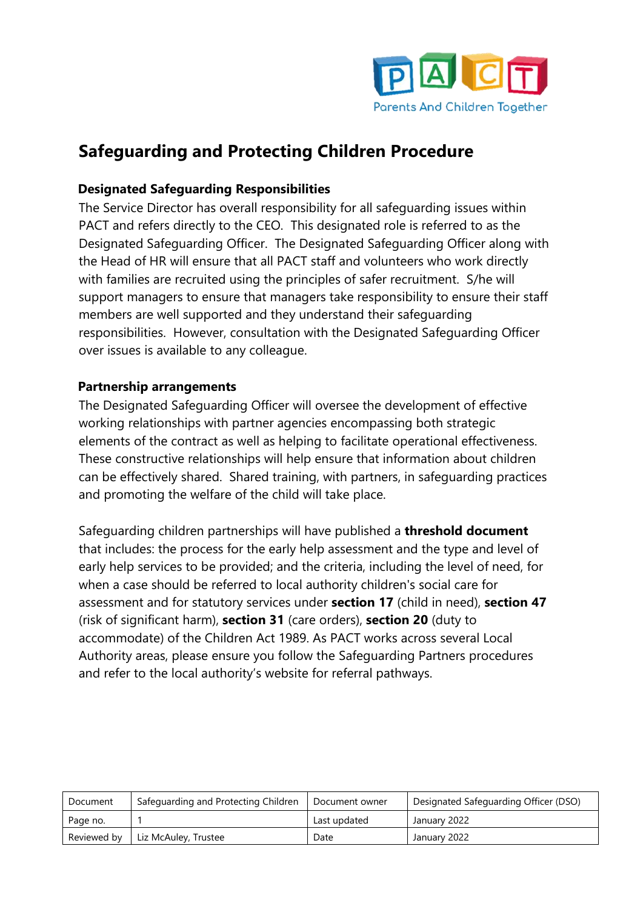

# **Safeguarding and Protecting Children Procedure**

#### **Designated Safeguarding Responsibilities**

The Service Director has overall responsibility for all safeguarding issues within PACT and refers directly to the CEO. This designated role is referred to as the Designated Safeguarding Officer. The Designated Safeguarding Officer along with the Head of HR will ensure that all PACT staff and volunteers who work directly with families are recruited using the principles of safer recruitment. S/he will support managers to ensure that managers take responsibility to ensure their staff members are well supported and they understand their safeguarding responsibilities. However, consultation with the Designated Safeguarding Officer over issues is available to any colleague.

#### **Partnership arrangements**

The Designated Safeguarding Officer will oversee the development of effective working relationships with partner agencies encompassing both strategic elements of the contract as well as helping to facilitate operational effectiveness. These constructive relationships will help ensure that information about children can be effectively shared. Shared training, with partners, in safeguarding practices and promoting the welfare of the child will take place.

Safeguarding children partnerships will have published a **threshold document** that includes: the process for the early help assessment and the type and level of early help services to be provided; and the criteria, including the level of need, for when a case should be referred to local authority children's social care for assessment and for statutory services under **[section 17](http://www.legislation.gov.uk/ukpga/1989/41/part/III/crossheading/provision-of-services-for-children-and-their-families)** (child in need), **[section 47](http://www.legislation.gov.uk/ukpga/1989/41/section/47)** (risk of significant harm), **[section 31](http://www.legislation.gov.uk/ukpga/1989/41/part/IV/crossheading/general)** (care orders), **[section 20](http://www.legislation.gov.uk/ukpga/1989/41/section/20)** (duty to accommodate) of the Children Act 1989. As PACT works across several Local Authority areas, please ensure you follow the Safeguarding Partners procedures and refer to the local authority's website for referral pathways.

| Document    | Safeguarding and Protecting Children | Document owner | Designated Safeguarding Officer (DSO) |  |
|-------------|--------------------------------------|----------------|---------------------------------------|--|
| Page no.    |                                      | Last updated   | January 2022                          |  |
| Reviewed by | Liz McAuley, Trustee                 | Date           | January 2022                          |  |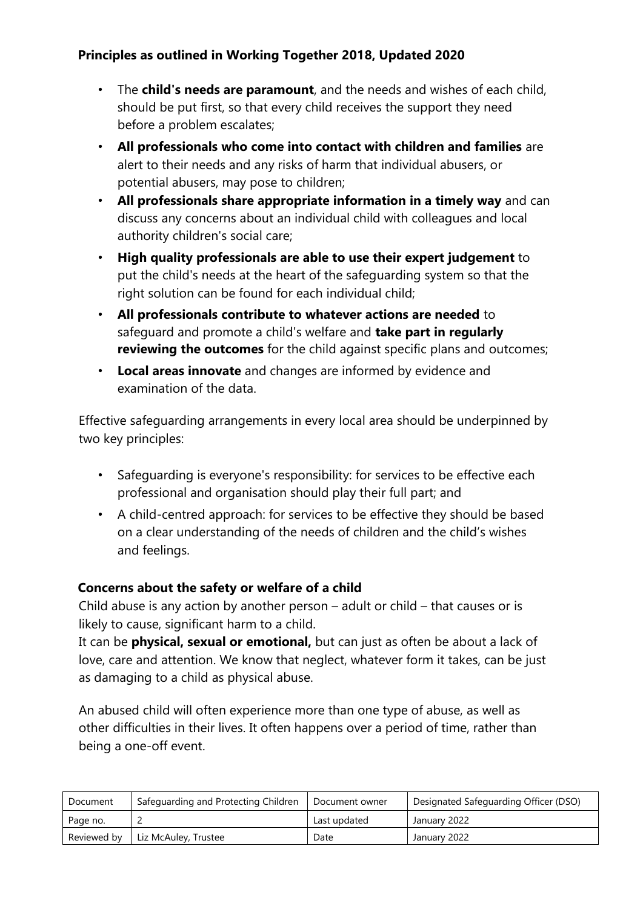## **Principles as outlined in Working Together 2018, Updated 2020**

- The **child's needs are paramount**, and the needs and wishes of each child, should be put first, so that every child receives the support they need before a problem escalates;
- **All professionals who come into contact with children and families** are alert to their needs and any risks of harm that individual abusers, or potential abusers, may pose to children;
- **All professionals share appropriate information in a timely way** and can discuss any concerns about an individual child with colleagues and local authority children's social care;
- **High quality professionals are able to use their expert judgement** to put the child's needs at the heart of the safeguarding system so that the right solution can be found for each individual child;
- **All professionals contribute to whatever actions are needed** to safeguard and promote a child's welfare and **take part in regularly reviewing the outcomes** for the child against specific plans and outcomes;
- **Local areas innovate** and changes are informed by evidence and examination of the data.

Effective safeguarding arrangements in every local area should be underpinned by two key principles:

- Safeguarding is everyone's responsibility: for services to be effective each professional and organisation should play their full part; and
- A child-centred approach: for services to be effective they should be based on a clear understanding of the needs of children and the child's wishes and feelings.

## **Concerns about the safety or welfare of a child**

Child abuse is any action by another person – adult or child – that causes or is likely to cause, significant harm to a child.

It can be **physical, sexual or emotional,** but can just as often be about a lack of love, care and attention. We know that neglect, whatever form it takes, can be just as damaging to a child as physical abuse.

An abused child will often experience more than one type of abuse, as well as other difficulties in their lives. It often happens over a period of time, rather than being a one-off event.

| Document    | Safeguarding and Protecting Children | Document owner | Designated Safeguarding Officer (DSO) |  |
|-------------|--------------------------------------|----------------|---------------------------------------|--|
| Page no.    |                                      | Last updated   | January 2022                          |  |
| Reviewed by | Liz McAuley, Trustee                 | Date           | January 2022                          |  |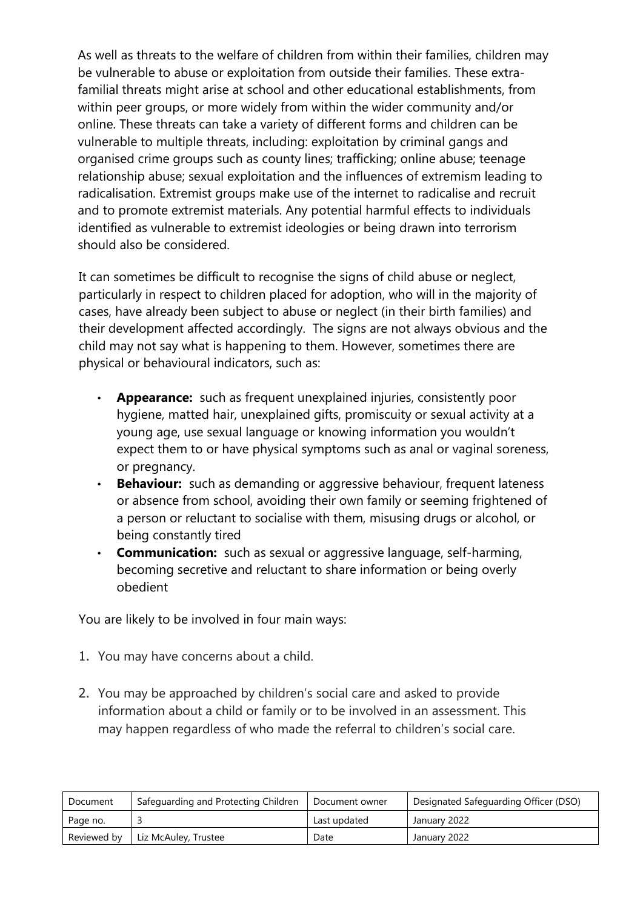As well as threats to the welfare of children from within their families, children may be vulnerable to abuse or exploitation from outside their families. These extrafamilial threats might arise at school and other educational establishments, from within peer groups, or more widely from within the wider community and/or online. These threats can take a variety of different forms and children can be vulnerable to multiple threats, including: exploitation by criminal gangs and organised crime groups such as county lines; trafficking; online abuse; teenage relationship abuse; sexual exploitation and the influences of extremism leading to radicalisation. Extremist groups make use of the internet to radicalise and recruit and to promote extremist materials. Any potential harmful effects to individuals identified as vulnerable to extremist ideologies or being drawn into terrorism should also be considered.

It can sometimes be difficult to recognise the signs of child abuse or neglect, particularly in respect to children placed for adoption, who will in the majority of cases, have already been subject to abuse or neglect (in their birth families) and their development affected accordingly. The signs are not always obvious and the child may not say what is happening to them. However, sometimes there are physical or behavioural indicators, such as:

- **Appearance:** such as frequent unexplained injuries, consistently poor hygiene, matted hair, unexplained gifts, promiscuity or sexual activity at a young age, use sexual language or knowing information you wouldn't expect them to or have physical symptoms such as anal or vaginal soreness, or pregnancy.
- **Behaviour:** such as demanding or aggressive behaviour, frequent lateness or absence from school, avoiding their own family or seeming frightened of a person or reluctant to socialise with them, misusing drugs or alcohol, or being constantly tired
- **Communication:** such as sexual or aggressive language, self-harming, becoming secretive and reluctant to share information or being overly obedient

You are likely to be involved in four main ways:

- 1. You may have concerns about a child.
- 2. You may be approached by children's social care and asked to provide information about a child or family or to be involved in an assessment. This may happen regardless of who made the referral to children's social care.

| Document    | Safeguarding and Protecting Children | Document owner | Designated Safeguarding Officer (DSO) |
|-------------|--------------------------------------|----------------|---------------------------------------|
| Page no.    |                                      | Last updated   | January 2022                          |
| Reviewed by | Liz McAuley, Trustee                 | Date           | January 2022                          |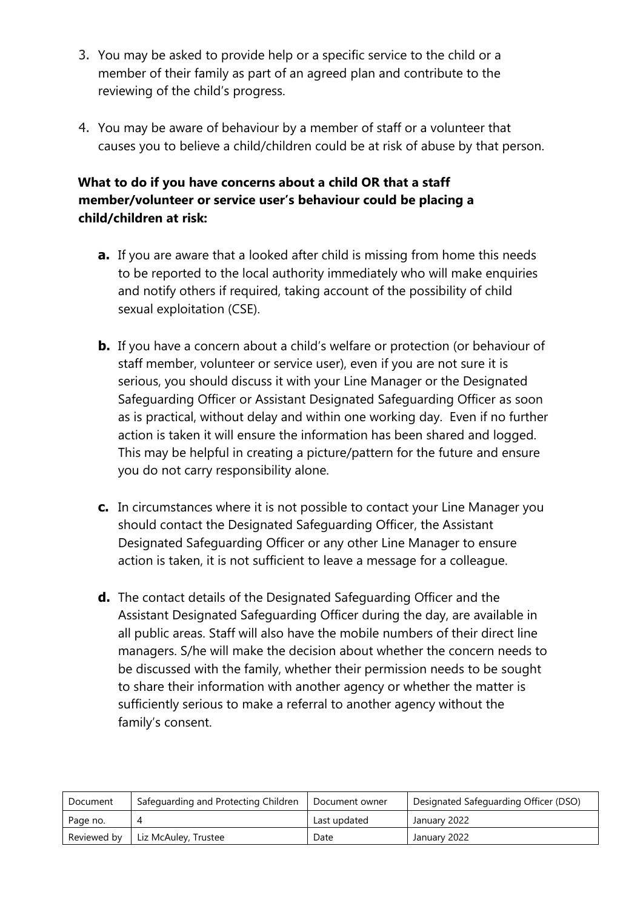- 3. You may be asked to provide help or a specific service to the child or a member of their family as part of an agreed plan and contribute to the reviewing of the child's progress.
- 4. You may be aware of behaviour by a member of staff or a volunteer that causes you to believe a child/children could be at risk of abuse by that person.

## **What to do if you have concerns about a child OR that a staff member/volunteer or service user's behaviour could be placing a child/children at risk:**

- **a.** If you are aware that a looked after child is missing from home this needs to be reported to the local authority immediately who will make enquiries and notify others if required, taking account of the possibility of child sexual exploitation (CSE).
- **b.** If you have a concern about a child's welfare or protection (or behaviour of staff member, volunteer or service user), even if you are not sure it is serious, you should discuss it with your Line Manager or the Designated Safeguarding Officer or Assistant Designated Safeguarding Officer as soon as is practical, without delay and within one working day. Even if no further action is taken it will ensure the information has been shared and logged. This may be helpful in creating a picture/pattern for the future and ensure you do not carry responsibility alone.
- **c.** In circumstances where it is not possible to contact your Line Manager you should contact the Designated Safeguarding Officer, the Assistant Designated Safeguarding Officer or any other Line Manager to ensure action is taken, it is not sufficient to leave a message for a colleague.
- **d.** The contact details of the Designated Safeguarding Officer and the Assistant Designated Safeguarding Officer during the day, are available in all public areas. Staff will also have the mobile numbers of their direct line managers. S/he will make the decision about whether the concern needs to be discussed with the family, whether their permission needs to be sought to share their information with another agency or whether the matter is sufficiently serious to make a referral to another agency without the family's consent.

| Document    | Safeguarding and Protecting Children | Document owner | Designated Safeguarding Officer (DSO) |
|-------------|--------------------------------------|----------------|---------------------------------------|
| Page no.    |                                      | Last updated   | January 2022                          |
| Reviewed by | Liz McAuley, Trustee                 | Date           | January 2022                          |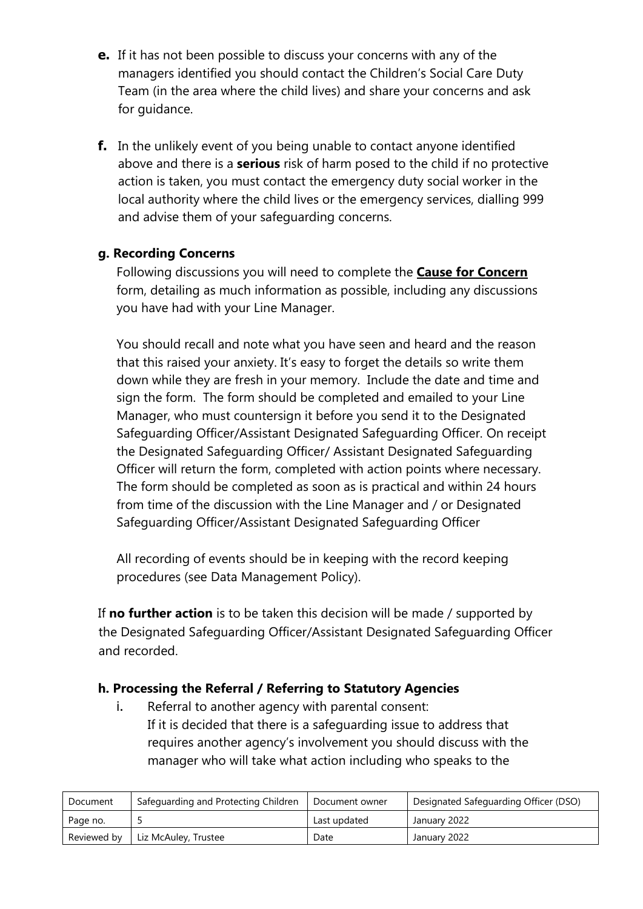- **e.** If it has not been possible to discuss your concerns with any of the managers identified you should contact the Children's Social Care Duty Team (in the area where the child lives) and share your concerns and ask for guidance.
- **f.** In the unlikely event of you being unable to contact anyone identified above and there is a **serious** risk of harm posed to the child if no protective action is taken, you must contact the emergency duty social worker in the local authority where the child lives or the emergency services, dialling 999 and advise them of your safeguarding concerns.

#### **g. Recording Concerns**

Following discussions you will need to complete the **Cause for Concern** form, detailing as much information as possible, including any discussions you have had with your Line Manager.

You should recall and note what you have seen and heard and the reason that this raised your anxiety. It's easy to forget the details so write them down while they are fresh in your memory. Include the date and time and sign the form. The form should be completed and emailed to your Line Manager, who must countersign it before you send it to the Designated Safeguarding Officer/Assistant Designated Safeguarding Officer. On receipt the Designated Safeguarding Officer/ Assistant Designated Safeguarding Officer will return the form, completed with action points where necessary. The form should be completed as soon as is practical and within 24 hours from time of the discussion with the Line Manager and / or Designated Safeguarding Officer/Assistant Designated Safeguarding Officer

All recording of events should be in keeping with the record keeping procedures (see Data Management Policy).

If **no further action** is to be taken this decision will be made / supported by the Designated Safeguarding Officer/Assistant Designated Safeguarding Officer and recorded.

## **h. Processing the Referral / Referring to Statutory Agencies**

i. Referral to another agency with parental consent: If it is decided that there is a safeguarding issue to address that requires another agency's involvement you should discuss with the manager who will take what action including who speaks to the

| Document | Safeguarding and Protecting Children | Document owner | Designated Safeguarding Officer (DSO) |  |
|----------|--------------------------------------|----------------|---------------------------------------|--|
| Page no. |                                      | Last updated   | January 2022                          |  |
|          | Reviewed by   Liz McAuley, Trustee   | Date           | January 2022                          |  |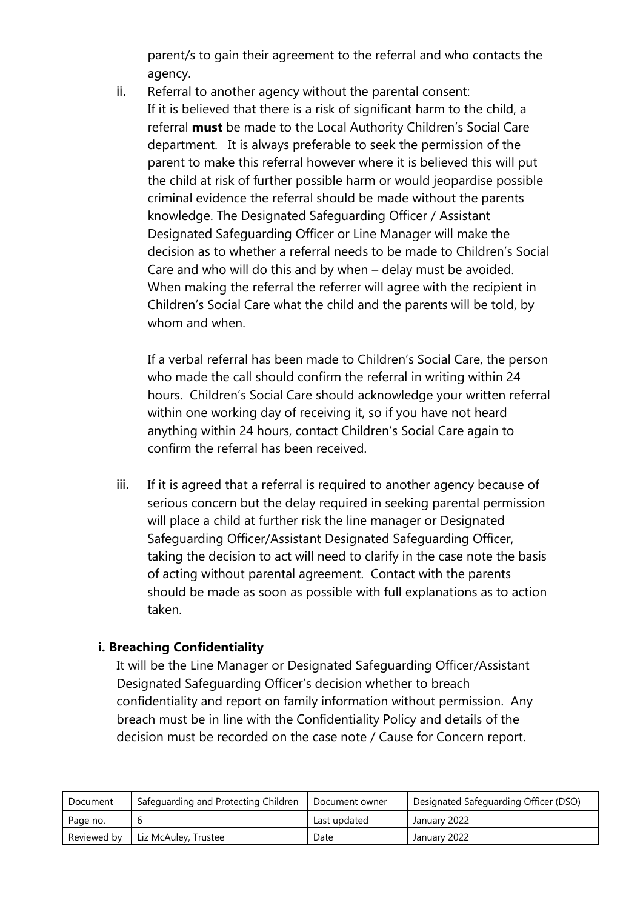parent/s to gain their agreement to the referral and who contacts the agency.

ii. Referral to another agency without the parental consent: If it is believed that there is a risk of significant harm to the child, a referral **must** be made to the Local Authority Children's Social Care department. It is always preferable to seek the permission of the parent to make this referral however where it is believed this will put the child at risk of further possible harm or would jeopardise possible criminal evidence the referral should be made without the parents knowledge. The Designated Safeguarding Officer / Assistant Designated Safeguarding Officer or Line Manager will make the decision as to whether a referral needs to be made to Children's Social Care and who will do this and by when – delay must be avoided. When making the referral the referrer will agree with the recipient in Children's Social Care what the child and the parents will be told, by whom and when.

If a verbal referral has been made to Children's Social Care, the person who made the call should confirm the referral in writing within 24 hours. Children's Social Care should acknowledge your written referral within one working day of receiving it, so if you have not heard anything within 24 hours, contact Children's Social Care again to confirm the referral has been received.

iii. If it is agreed that a referral is required to another agency because of serious concern but the delay required in seeking parental permission will place a child at further risk the line manager or Designated Safeguarding Officer/Assistant Designated Safeguarding Officer, taking the decision to act will need to clarify in the case note the basis of acting without parental agreement. Contact with the parents should be made as soon as possible with full explanations as to action taken.

#### **i. Breaching Confidentiality**

It will be the Line Manager or Designated Safeguarding Officer/Assistant Designated Safeguarding Officer's decision whether to breach confidentiality and report on family information without permission. Any breach must be in line with the Confidentiality Policy and details of the decision must be recorded on the case note / Cause for Concern report.

| Document    | Safeguarding and Protecting Children | Document owner | Designated Safeguarding Officer (DSO) |  |
|-------------|--------------------------------------|----------------|---------------------------------------|--|
| Page no.    |                                      | Last updated   | January 2022                          |  |
| Reviewed by | Liz McAuley, Trustee                 | Date           | January 2022                          |  |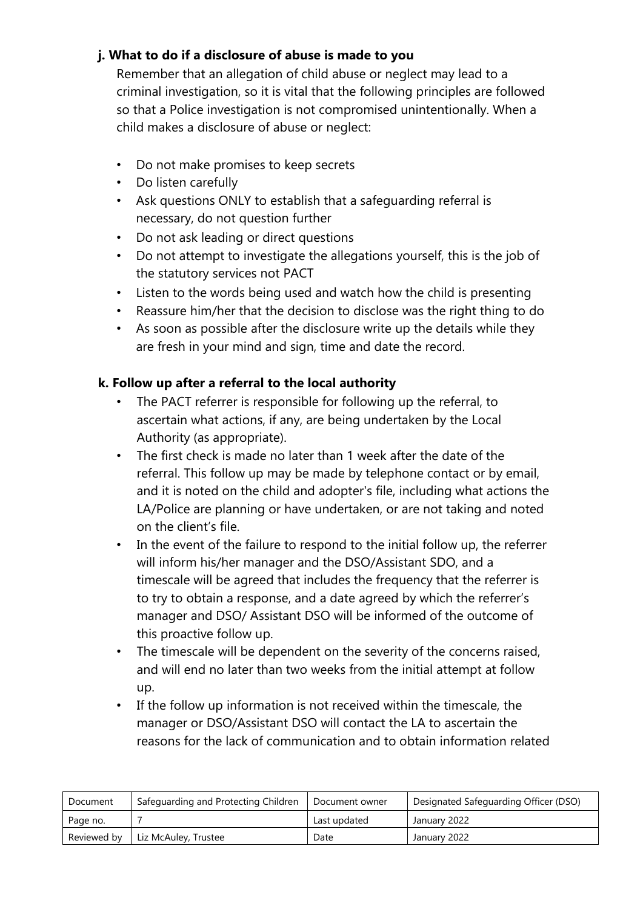## **j. What to do if a disclosure of abuse is made to you**

Remember that an allegation of child abuse or neglect may lead to a criminal investigation, so it is vital that the following principles are followed so that a Police investigation is not compromised unintentionally. When a child makes a disclosure of abuse or neglect:

- Do not make promises to keep secrets
- Do listen carefully
- Ask questions ONLY to establish that a safeguarding referral is necessary, do not question further
- Do not ask leading or direct questions
- Do not attempt to investigate the allegations yourself, this is the job of the statutory services not PACT
- Listen to the words being used and watch how the child is presenting
- Reassure him/her that the decision to disclose was the right thing to do
- As soon as possible after the disclosure write up the details while they are fresh in your mind and sign, time and date the record.

## **k. Follow up after a referral to the local authority**

- The PACT referrer is responsible for following up the referral, to ascertain what actions, if any, are being undertaken by the Local Authority (as appropriate).
- The first check is made no later than 1 week after the date of the referral. This follow up may be made by telephone contact or by email, and it is noted on the child and adopter's file, including what actions the LA/Police are planning or have undertaken, or are not taking and noted on the client's file.
- In the event of the failure to respond to the initial follow up, the referrer will inform his/her manager and the DSO/Assistant SDO, and a timescale will be agreed that includes the frequency that the referrer is to try to obtain a response, and a date agreed by which the referrer's manager and DSO/ Assistant DSO will be informed of the outcome of this proactive follow up.
- The timescale will be dependent on the severity of the concerns raised, and will end no later than two weeks from the initial attempt at follow up.
- If the follow up information is not received within the timescale, the manager or DSO/Assistant DSO will contact the LA to ascertain the reasons for the lack of communication and to obtain information related

| Document    | Safequarding and Protecting Children | Document owner | Designated Safeguarding Officer (DSO) |
|-------------|--------------------------------------|----------------|---------------------------------------|
| Page no.    |                                      | Last updated   | January 2022                          |
| Reviewed by | Liz McAuley, Trustee                 | Date           | January 2022                          |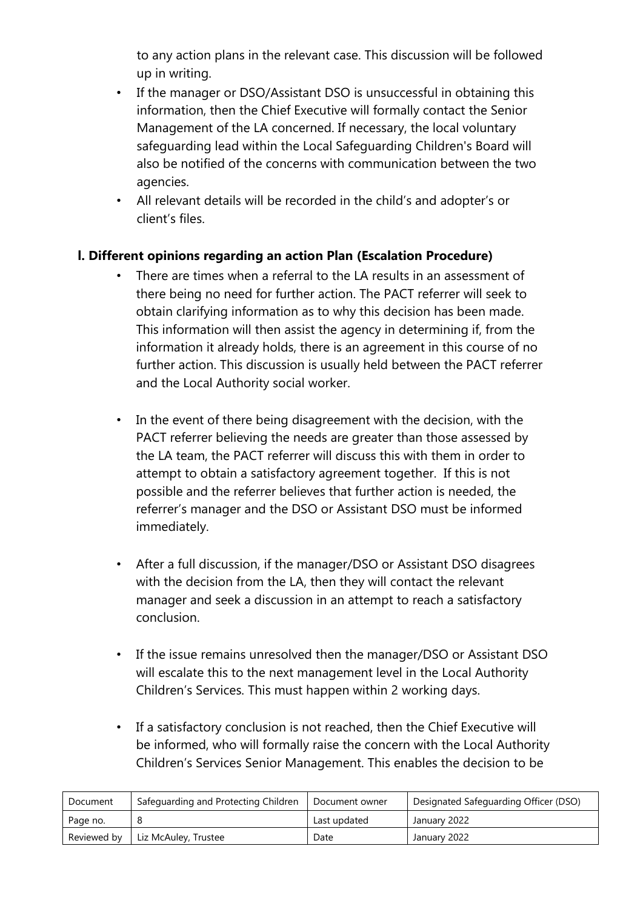to any action plans in the relevant case. This discussion will be followed up in writing.

- If the manager or DSO/Assistant DSO is unsuccessful in obtaining this information, then the Chief Executive will formally contact the Senior Management of the LA concerned. If necessary, the local voluntary safeguarding lead within the Local Safeguarding Children's Board will also be notified of the concerns with communication between the two agencies.
- All relevant details will be recorded in the child's and adopter's or client's files.

#### **l. Different opinions regarding an action Plan (Escalation Procedure)**

- There are times when a referral to the LA results in an assessment of there being no need for further action. The PACT referrer will seek to obtain clarifying information as to why this decision has been made. This information will then assist the agency in determining if, from the information it already holds, there is an agreement in this course of no further action. This discussion is usually held between the PACT referrer and the Local Authority social worker.
- In the event of there being disagreement with the decision, with the PACT referrer believing the needs are greater than those assessed by the LA team, the PACT referrer will discuss this with them in order to attempt to obtain a satisfactory agreement together. If this is not possible and the referrer believes that further action is needed, the referrer's manager and the DSO or Assistant DSO must be informed immediately.
- After a full discussion, if the manager/DSO or Assistant DSO disagrees with the decision from the LA, then they will contact the relevant manager and seek a discussion in an attempt to reach a satisfactory conclusion.
- If the issue remains unresolved then the manager/DSO or Assistant DSO will escalate this to the next management level in the Local Authority Children's Services. This must happen within 2 working days.
- If a satisfactory conclusion is not reached, then the Chief Executive will be informed, who will formally raise the concern with the Local Authority Children's Services Senior Management. This enables the decision to be

| Document    | Safeguarding and Protecting Children | Document owner | Designated Safeguarding Officer (DSO) |  |
|-------------|--------------------------------------|----------------|---------------------------------------|--|
| Page no.    |                                      | Last updated   | January 2022                          |  |
| Reviewed by | Liz McAuley, Trustee                 | Date           | January 2022                          |  |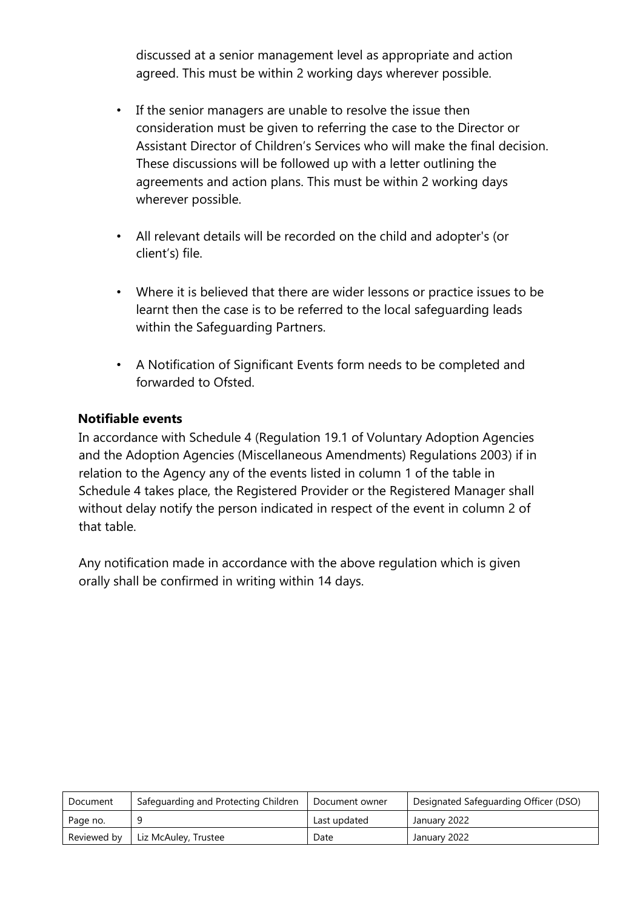discussed at a senior management level as appropriate and action agreed. This must be within 2 working days wherever possible.

- If the senior managers are unable to resolve the issue then consideration must be given to referring the case to the Director or Assistant Director of Children's Services who will make the final decision. These discussions will be followed up with a letter outlining the agreements and action plans. This must be within 2 working days wherever possible.
- All relevant details will be recorded on the child and adopter's (or client's) file.
- Where it is believed that there are wider lessons or practice issues to be learnt then the case is to be referred to the local safeguarding leads within the Safeguarding Partners.
- A Notification of Significant Events form needs to be completed and forwarded to Ofsted.

#### **Notifiable events**

In accordance with Schedule 4 (Regulation 19.1 of Voluntary Adoption Agencies and the Adoption Agencies (Miscellaneous Amendments) Regulations 2003) if in relation to the Agency any of the events listed in column 1 of the table in Schedule 4 takes place, the Registered Provider or the Registered Manager shall without delay notify the person indicated in respect of the event in column 2 of that table.

Any notification made in accordance with the above regulation which is given orally shall be confirmed in writing within 14 days.

| Document    | Safeguarding and Protecting Children | Document owner | Designated Safeguarding Officer (DSO) |
|-------------|--------------------------------------|----------------|---------------------------------------|
| Page no.    |                                      | Last updated   | January 2022                          |
| Reviewed by | Liz McAuley, Trustee                 | Date           | January 2022                          |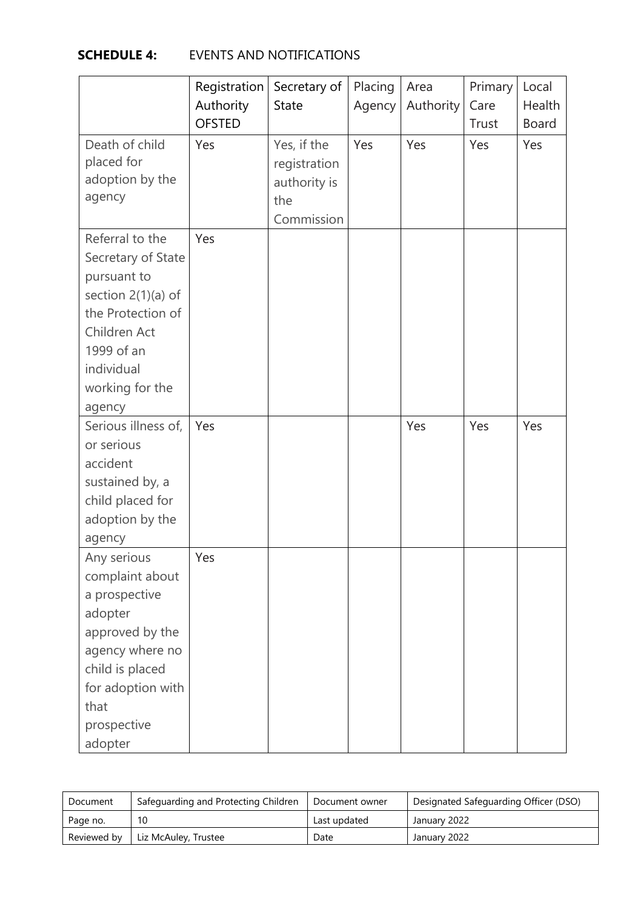# **SCHEDULE 4:** EVENTS AND NOTIFICATIONS

|                                                                                                                                                                            | Registration  | Secretary of                                                     | Placing | Area      | Primary | Local        |
|----------------------------------------------------------------------------------------------------------------------------------------------------------------------------|---------------|------------------------------------------------------------------|---------|-----------|---------|--------------|
|                                                                                                                                                                            | Authority     | <b>State</b>                                                     | Agency  | Authority | Care    | Health       |
|                                                                                                                                                                            | <b>OFSTED</b> |                                                                  |         |           | Trust   | <b>Board</b> |
| Death of child<br>placed for<br>adoption by the<br>agency                                                                                                                  | Yes           | Yes, if the<br>registration<br>authority is<br>the<br>Commission | Yes     | Yes       | Yes     | Yes          |
| Referral to the<br>Secretary of State<br>pursuant to<br>section $2(1)(a)$ of<br>the Protection of<br>Children Act<br>1999 of an<br>individual<br>working for the<br>agency | Yes           |                                                                  |         |           |         |              |
| Serious illness of,<br>or serious<br>accident<br>sustained by, a<br>child placed for<br>adoption by the<br>agency                                                          | Yes           |                                                                  |         | Yes       | Yes     | Yes          |
| Any serious<br>complaint about<br>a prospective<br>adopter<br>approved by the<br>agency where no<br>child is placed<br>for adoption with<br>that<br>prospective<br>adopter | Yes           |                                                                  |         |           |         |              |

| Document    | Safeguarding and Protecting Children | Document owner | Designated Safeguarding Officer (DSO) |
|-------------|--------------------------------------|----------------|---------------------------------------|
| Page no.    | 10                                   | Last updated   | January 2022                          |
| Reviewed by | Liz McAuley, Trustee                 | Date           | January 2022                          |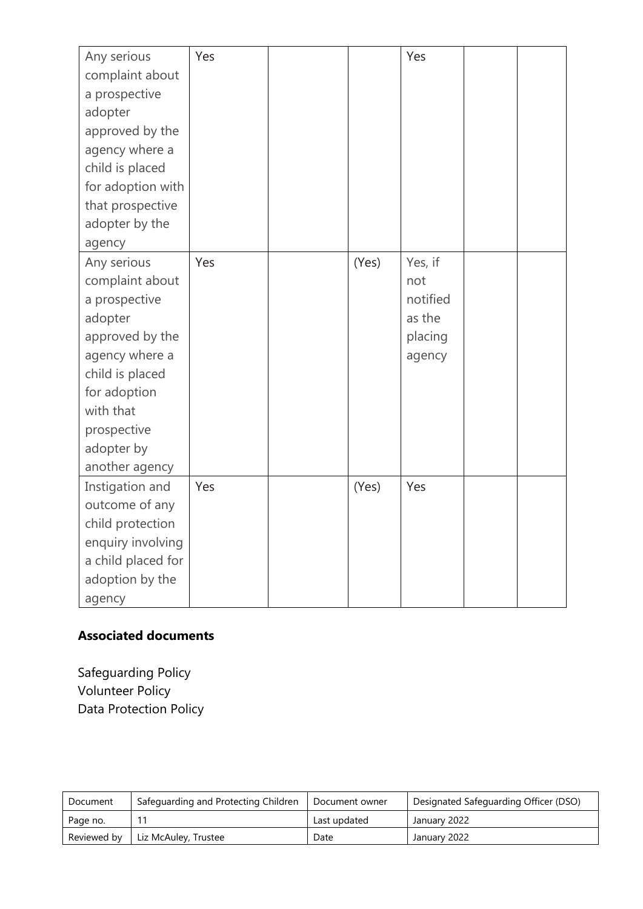| Any serious        | Yes |       | Yes      |  |
|--------------------|-----|-------|----------|--|
| complaint about    |     |       |          |  |
| a prospective      |     |       |          |  |
| adopter            |     |       |          |  |
| approved by the    |     |       |          |  |
| agency where a     |     |       |          |  |
| child is placed    |     |       |          |  |
| for adoption with  |     |       |          |  |
| that prospective   |     |       |          |  |
| adopter by the     |     |       |          |  |
| agency             |     |       |          |  |
| Any serious        | Yes | (Yes) | Yes, if  |  |
| complaint about    |     |       | not      |  |
| a prospective      |     |       | notified |  |
| adopter            |     |       | as the   |  |
| approved by the    |     |       | placing  |  |
| agency where a     |     |       | agency   |  |
| child is placed    |     |       |          |  |
| for adoption       |     |       |          |  |
| with that          |     |       |          |  |
| prospective        |     |       |          |  |
| adopter by         |     |       |          |  |
| another agency     |     |       |          |  |
| Instigation and    | Yes | (Yes) | Yes      |  |
| outcome of any     |     |       |          |  |
| child protection   |     |       |          |  |
| enquiry involving  |     |       |          |  |
| a child placed for |     |       |          |  |
| adoption by the    |     |       |          |  |
| agency             |     |       |          |  |

# **Associated documents**

Safeguarding Policy Volunteer Policy Data Protection Policy

| Document    | Safeguarding and Protecting Children | Document owner | Designated Safeguarding Officer (DSO) |
|-------------|--------------------------------------|----------------|---------------------------------------|
| Page no.    |                                      | Last updated   | January 2022                          |
| Reviewed by | Liz McAuley, Trustee                 | Date           | January 2022                          |